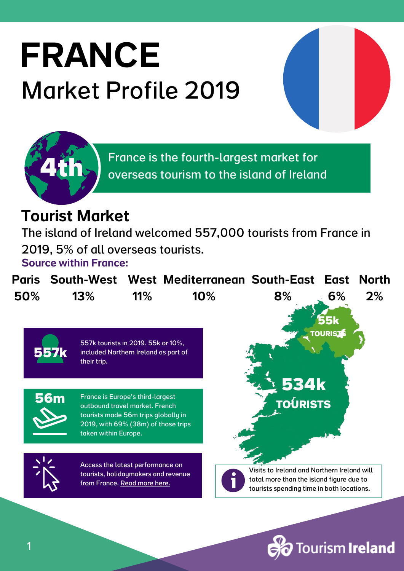# FRANCE Market Profile 2019

France is the fourth-largest market for overseas tourism to the island of Ireland

### Tourist Market

**4th**

The island of Ireland welcomed 557,000 tourists from France in 2019, 5% of all overseas tourists. Source within France:

|     |                                                                                                                                                                                        |                                                                                           |                                                                                                         |     | Paris South-West West Mediterranean South-East East                                                                                  |                 | <b>North</b> |
|-----|----------------------------------------------------------------------------------------------------------------------------------------------------------------------------------------|-------------------------------------------------------------------------------------------|---------------------------------------------------------------------------------------------------------|-----|--------------------------------------------------------------------------------------------------------------------------------------|-----------------|--------------|
| 50% |                                                                                                                                                                                        | 13%                                                                                       | 11%                                                                                                     | 10% | 8%                                                                                                                                   | 6%              | 2%           |
|     | 557k                                                                                                                                                                                   | 557k tourists in 2019. 55k or 10%,<br>included Northern Ireland as part of<br>their trip. |                                                                                                         |     | <b>534k</b>                                                                                                                          | <b>TOURISTS</b> |              |
|     | <b>56m</b><br>France is Europe's third-largest<br>outbound travel market. French<br>tourists made 56m trips globally in<br>2019, with 69% (38m) of those trips<br>taken within Europe. |                                                                                           |                                                                                                         |     | <b>TOURISTS</b>                                                                                                                      |                 |              |
|     |                                                                                                                                                                                        |                                                                                           | Access the latest performance on<br>tourists, holidaymakers and revenue<br>from France. Read more here. |     | Visits to Ireland and Northern Ireland will<br>total more than the island figure due to<br>tourists spending time in both locations. |                 |              |
|     |                                                                                                                                                                                        |                                                                                           |                                                                                                         |     |                                                                                                                                      |                 |              |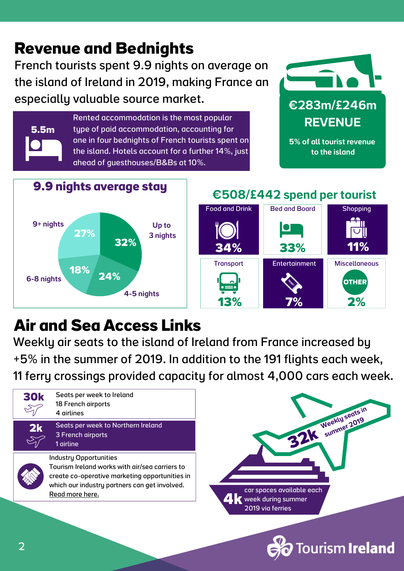### **Revenue and Bednights**

French tourists spent 9.9 nights on average on the island of Ireland in 2019, making France an especially valuable source market. **€283m/£246m** 

**5.5m**

Rented accommodation is the most popular type of paid accommodation, accounting for one in four bednights of French tourists spent on the island. Hotels account for a further 14%, just ahead of guesthouses/B&Bs at 10%.





#### €508/£442 spend per tourist



### **Air and Sea Access Links**

Weekly air seats to the island of Ireland from France increased by +5% in the summer of 2019. In addition to the 191 flights each week, 11 ferry crossings provided capacity for almost 4,000 cars each week.





Tourism **Ireland**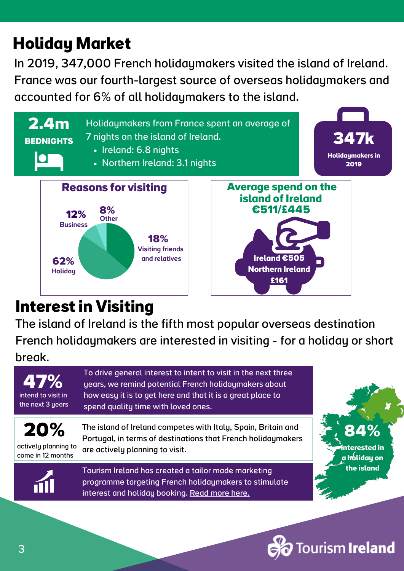## **Holiday Market**

In 2019, 347,000 French holidaymakers visited the island of Ireland. France was our fourth-largest source of overseas holidaymakers and accounted for 6% of all holidaymakers to the island.



### **Interestin Visiting**

The island of Ireland is the fifth most popular overseas destination French holidaymakers are interested in visiting - for a holiday or short break.

To drive general interest to intent to visit in the next three years, we remind potential French holidaymakers about how easy it is to get here and that it is a great place to spend quality time with loved ones. The island of Ireland competes with Italy, Spain, Britain and Portugal, in terms of destinations that French holidaymakers are actively planning to visit. **47% 20%** Tourism Ireland has created a tailor made marketing programme targeting French [holidaymakers](https://www.tourismirelandindustryopportunities.com/overseas-markets/europe/france) to stimulate interest and holiday booking. [Read](https://www.tourismirelandindustryopportunities.com/overseas-markets/europe/france) more here. **84% interested in a holiday on the island** intend to visit in the next 3 years actively planning to come in 12 months

**Tourism Ireland**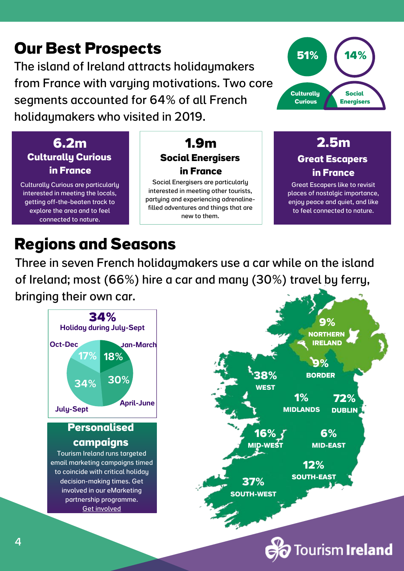## **Our Best Prospects**

The island of Ireland attracts holidaymakers from France with varying motivations. Two core segments accounted for 64% of all French holidaymakers who visited in 2019.



Culturally Curious are particularly interested in meeting the locals, getting off-the-beaten track to explore the area and to feel connected to nature.

4

#### **1.9m Social Energisers in France**

Social Energisers are particularly interested in meeting other tourists, partying and experiencing adrenalinefilled adventures and things that are new to them.



**2.5m Great Escapers in France**

Great Escapers like to revisit places of nostalgic importance, enjoy peace and quiet, and like to feel connected to nature.

### **Regions and Seasons**

Three in seven French holidaymakers use a car while on the island of Ireland; most (66%) hire a car and many (30%) travel by ferry, bringing their own car.

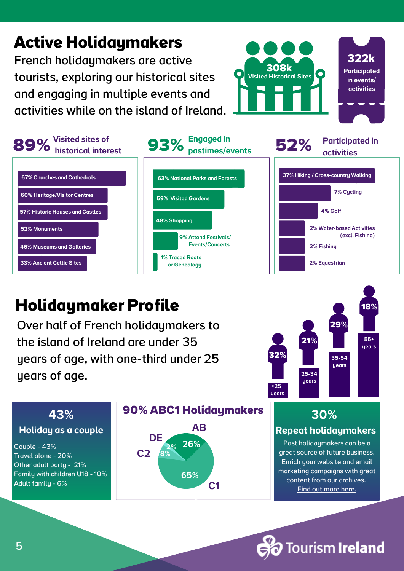### French holidaymakers are active tourists, exploring our historical sites and engaging in multiple events and activities while on the island of Ireland. **Active Holidaymakers**





### **Holidaymaker Profile**

Over half of French holidaymakers to the island of Ireland are under 35 years of age, with one-third under 25 years of age.



#### $\overline{\phantom{a}}$  AB 2% [30%](https://www.tourismireland.com/Research) Repeat [holidaymakers](https://www.irelandscontentpool.com/) **90% ABC1 Holidaymakers** 43% 26%  $2\%$   $\cdot$ DE

Past [holidaymakers](https://www.irelandscontentpool.com/) can be a great source of future business. Enrich your website and email marketing [campaigns](https://www.irelandscontentpool.com/) with great content from our archives[.](https://www.irelandscontentpool.com/) Find out more here.

**Tourism Ireland** 



#### Holiday as a couple

Couple - 43% Travel alone - 20% Other adult party - 21% Family with children U18 - 10% Adult family - 6%